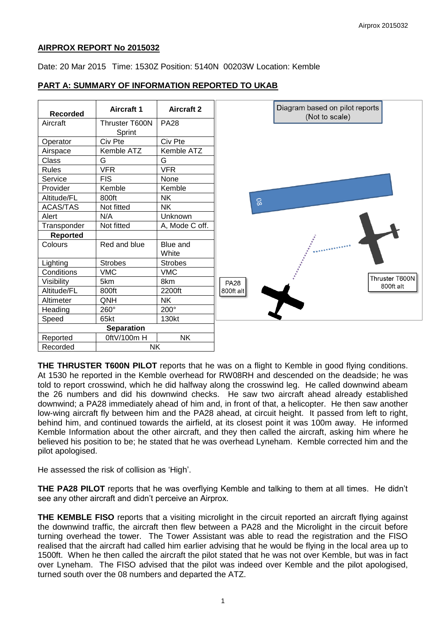## **AIRPROX REPORT No 2015032**

Date: 20 Mar 2015 Time: 1530Z Position: 5140N 00203W Location: Kemble

# **PART A: SUMMARY OF INFORMATION REPORTED TO UKAB**



**THE THRUSTER T600N PILOT** reports that he was on a flight to Kemble in good flying conditions. At 1530 he reported in the Kemble overhead for RW08RH and descended on the deadside; he was told to report crosswind, which he did halfway along the crosswind leg. He called downwind abeam the 26 numbers and did his downwind checks. He saw two aircraft ahead already established downwind; a PA28 immediately ahead of him and, in front of that, a helicopter. He then saw another low-wing aircraft fly between him and the PA28 ahead, at circuit height. It passed from left to right, behind him, and continued towards the airfield, at its closest point it was 100m away. He informed Kemble Information about the other aircraft, and they then called the aircraft, asking him where he believed his position to be; he stated that he was overhead Lyneham. Kemble corrected him and the pilot apologised.

He assessed the risk of collision as 'High'.

**THE PA28 PILOT** reports that he was overflying Kemble and talking to them at all times. He didn't see any other aircraft and didn't perceive an Airprox.

**THE KEMBLE FISO** reports that a visiting microlight in the circuit reported an aircraft flying against the downwind traffic, the aircraft then flew between a PA28 and the Microlight in the circuit before turning overhead the tower. The Tower Assistant was able to read the registration and the FISO realised that the aircraft had called him earlier advising that he would be flying in the local area up to 1500ft. When he then called the aircraft the pilot stated that he was not over Kemble, but was in fact over Lyneham. The FISO advised that the pilot was indeed over Kemble and the pilot apologised, turned south over the 08 numbers and departed the ATZ.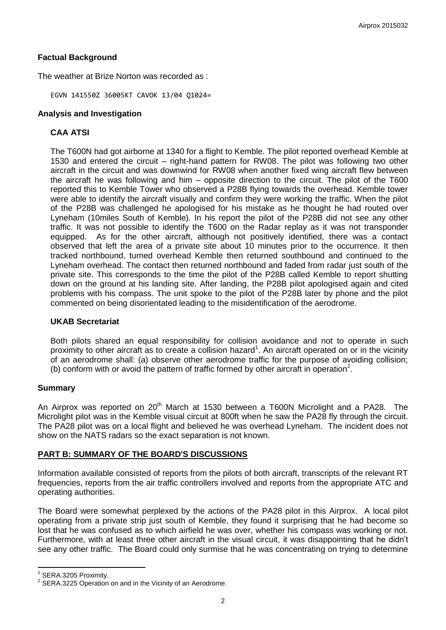### **Factual Background**

The weather at Brize Norton was recorded as :

EGVN 141550Z 36005KT CAVOK 13/04 Q1024=

### **Analysis and Investigation**

## **CAA ATSI**

The T600N had got airborne at 1340 for a flight to Kemble. The pilot reported overhead Kemble at 1530 and entered the circuit – right-hand pattern for RW08. The pilot was following two other aircraft in the circuit and was downwind for RW08 when another fixed wing aircraft flew between the aircraft he was following and him – opposite direction to the circuit. The pilot of the T600 reported this to Kemble Tower who observed a P28B flying towards the overhead. Kemble tower were able to identify the aircraft visually and confirm they were working the traffic. When the pilot of the P28B was challenged he apologised for his mistake as he thought he had routed over Lyneham (10miles South of Kemble). In his report the pilot of the P28B did not see any other traffic. It was not possible to identify the T600 on the Radar replay as it was not transponder equipped. As for the other aircraft, although not positively identified, there was a contact observed that left the area of a private site about 10 minutes prior to the occurrence. It then tracked northbound, turned overhead Kemble then returned southbound and continued to the Lyneham overhead. The contact then returned northbound and faded from radar just south of the private site. This corresponds to the time the pilot of the P28B called Kemble to report shutting down on the ground at his landing site. After landing, the P28B pilot apologised again and cited problems with his compass. The unit spoke to the pilot of the P28B later by phone and the pilot commented on being disorientated leading to the misidentification of the aerodrome.

### **UKAB Secretariat**

Both pilots shared an equal responsibility for collision avoidance and not to operate in such proximity to other aircraft as to create a collision hazard<sup>1</sup>. An aircraft operated on or in the vicinity of an aerodrome shall: (a) observe other aerodrome traffic for the purpose of avoiding collision; (b) conform with or avoid the pattern of traffic formed by other aircraft in operation<sup>2</sup>.

### **Summary**

An Airprox was reported on 20<sup>th</sup> March at 1530 between a T600N Microlight and a PA28. The Microlight pilot was in the Kemble visual circuit at 800ft when he saw the PA28 fly through the circuit. The PA28 pilot was on a local flight and believed he was overhead Lyneham. The incident does not show on the NATS radars so the exact separation is not known.

### **PART B: SUMMARY OF THE BOARD'S DISCUSSIONS**

Information available consisted of reports from the pilots of both aircraft, transcripts of the relevant RT frequencies, reports from the air traffic controllers involved and reports from the appropriate ATC and operating authorities.

The Board were somewhat perplexed by the actions of the PA28 pilot in this Airprox. A local pilot operating from a private strip just south of Kemble, they found it surprising that he had become so lost that he was confused as to which airfield he was over, whether his compass was working or not. Furthermore, with at least three other aircraft in the visual circuit, it was disappointing that he didn't see any other traffic. The Board could only surmise that he was concentrating on trying to determine

 $\overline{\phantom{a}}$ 

 $1$  SERA.3205 Proximity.

 $2$  SERA.3225 Operation on and in the Vicinity of an Aerodrome.